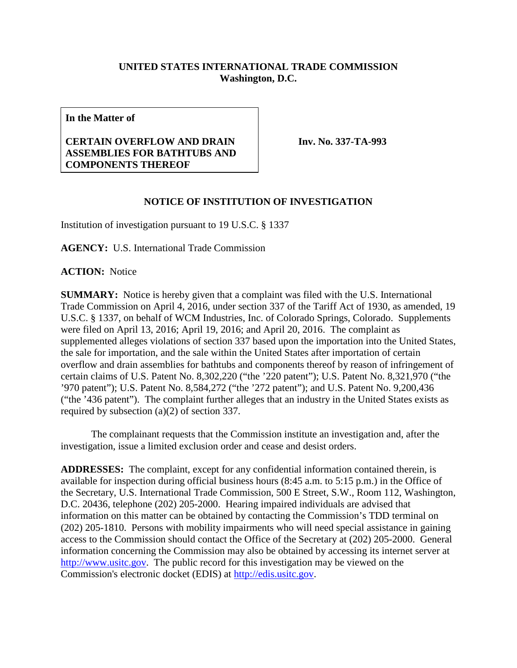## **UNITED STATES INTERNATIONAL TRADE COMMISSION Washington, D.C.**

**In the Matter of**

## **CERTAIN OVERFLOW AND DRAIN ASSEMBLIES FOR BATHTUBS AND COMPONENTS THEREOF**

**Inv. No. 337-TA-993**

## **NOTICE OF INSTITUTION OF INVESTIGATION**

Institution of investigation pursuant to 19 U.S.C. § 1337

**AGENCY:** U.S. International Trade Commission

**ACTION:** Notice

**SUMMARY:** Notice is hereby given that a complaint was filed with the U.S. International Trade Commission on April 4, 2016, under section 337 of the Tariff Act of 1930, as amended, 19 U.S.C. § 1337, on behalf of WCM Industries, Inc. of Colorado Springs, Colorado. Supplements were filed on April 13, 2016; April 19, 2016; and April 20, 2016. The complaint as supplemented alleges violations of section 337 based upon the importation into the United States, the sale for importation, and the sale within the United States after importation of certain overflow and drain assemblies for bathtubs and components thereof by reason of infringement of certain claims of U.S. Patent No. 8,302,220 ("the '220 patent"); U.S. Patent No. 8,321,970 ("the '970 patent"); U.S. Patent No. 8,584,272 ("the '272 patent"); and U.S. Patent No. 9,200,436 ("the '436 patent"). The complaint further alleges that an industry in the United States exists as required by subsection (a)(2) of section 337.

The complainant requests that the Commission institute an investigation and, after the investigation, issue a limited exclusion order and cease and desist orders.

**ADDRESSES:** The complaint, except for any confidential information contained therein, is available for inspection during official business hours (8:45 a.m. to 5:15 p.m.) in the Office of the Secretary, U.S. International Trade Commission, 500 E Street, S.W., Room 112, Washington, D.C. 20436, telephone (202) 205-2000. Hearing impaired individuals are advised that information on this matter can be obtained by contacting the Commission's TDD terminal on (202) 205-1810. Persons with mobility impairments who will need special assistance in gaining access to the Commission should contact the Office of the Secretary at (202) 205-2000. General information concerning the Commission may also be obtained by accessing its internet server at [http://www.usitc.gov.](http://www.usitc.gov/) The public record for this investigation may be viewed on the Commission's electronic docket (EDIS) at [http://edis.usitc.gov.](http://edis.usitc.gov/)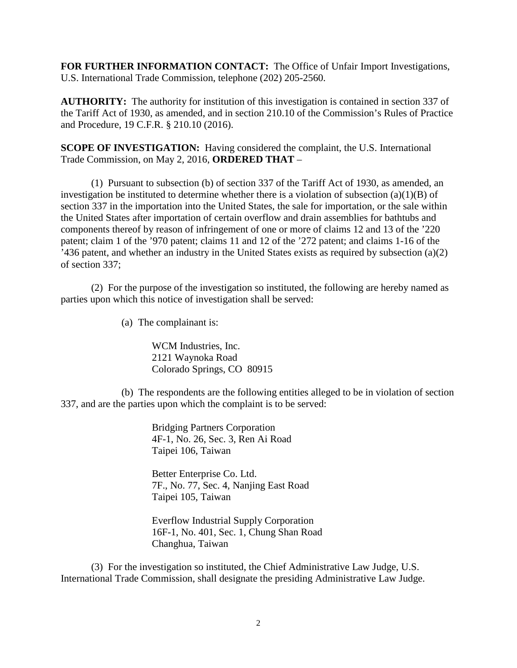**FOR FURTHER INFORMATION CONTACT:** The Office of Unfair Import Investigations, U.S. International Trade Commission, telephone (202) 205-2560.

**AUTHORITY:** The authority for institution of this investigation is contained in section 337 of the Tariff Act of 1930, as amended, and in section 210.10 of the Commission's Rules of Practice and Procedure, 19 C.F.R. § 210.10 (2016).

**SCOPE OF INVESTIGATION:** Having considered the complaint, the U.S. International Trade Commission, on May 2, 2016, **ORDERED THAT** –

(1) Pursuant to subsection (b) of section 337 of the Tariff Act of 1930, as amended, an investigation be instituted to determine whether there is a violation of subsection  $(a)(1)(B)$  of section 337 in the importation into the United States, the sale for importation, or the sale within the United States after importation of certain overflow and drain assemblies for bathtubs and components thereof by reason of infringement of one or more of claims 12 and 13 of the '220 patent; claim 1 of the '970 patent; claims 11 and 12 of the '272 patent; and claims 1-16 of the '436 patent, and whether an industry in the United States exists as required by subsection (a)(2) of section 337;

(2) For the purpose of the investigation so instituted, the following are hereby named as parties upon which this notice of investigation shall be served:

(a) The complainant is:

WCM Industries, Inc. 2121 Waynoka Road Colorado Springs, CO 80915

(b) The respondents are the following entities alleged to be in violation of section 337, and are the parties upon which the complaint is to be served:

> Bridging Partners Corporation 4F-1, No. 26, Sec. 3, Ren Ai Road Taipei 106, Taiwan

Better Enterprise Co. Ltd. 7F., No. 77, Sec. 4, Nanjing East Road Taipei 105, Taiwan

Everflow Industrial Supply Corporation 16F-1, No. 401, Sec. 1, Chung Shan Road Changhua, Taiwan

(3) For the investigation so instituted, the Chief Administrative Law Judge, U.S. International Trade Commission, shall designate the presiding Administrative Law Judge.